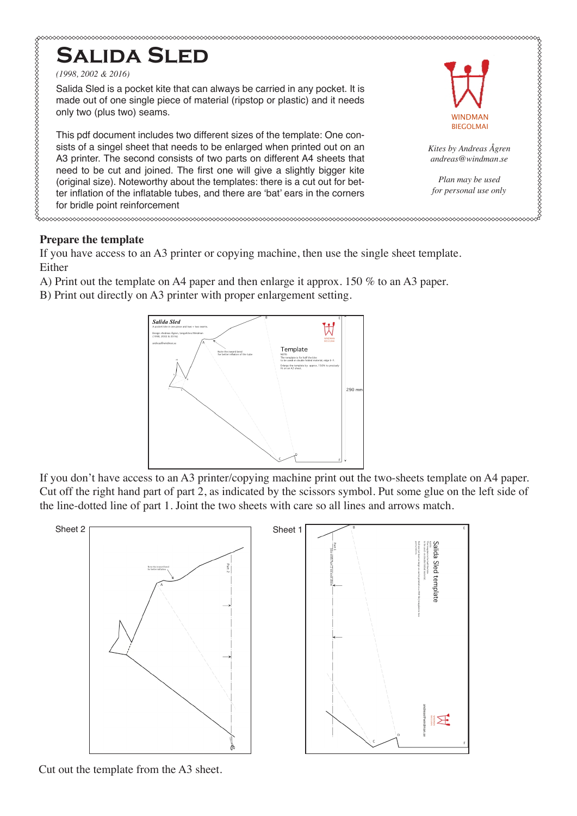

#### **Prepare the template**

If you have access to an A3 printer or copying machine, then use the single sheet template. Either

- A) Print out the template on A4 paper and then enlarge it approx. 150 % to an A3 paper.
- B) Print out directly on A3 printer with proper enlargement setting.



If you don't have access to an A3 printer/copying machine print out the two-sheets template on A4 paper. Cut off the right hand part of part 2, as indicated by the scissors symbol. Put some glue on the left side of the line-dotted line of part 1. Joint the two sheets with care so all lines and arrows match.



Cut out the template from the A3 sheet.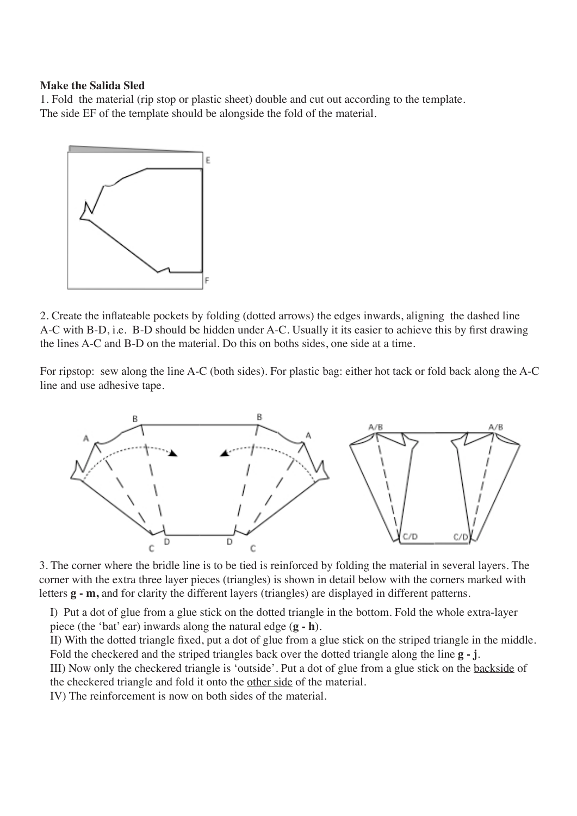#### **Make the Salida Sled**

1. Fold the material (rip stop or plastic sheet) double and cut out according to the template. The side EF of the template should be alongside the fold of the material.



2. Create the inflateable pockets by folding (dotted arrows) the edges inwards, aligning the dashed line A-C with B-D, i.e. B-D should be hidden under A-C. Usually it its easier to achieve this by first drawing the lines A-C and B-D on the material. Do this on boths sides, one side at a time.

For ripstop: sew along the line A-C (both sides). For plastic bag: either hot tack or fold back along the A-C line and use adhesive tape.



3. The corner where the bridle line is to be tied is reinforced by folding the material in several layers. The corner with the extra three layer pieces (triangles) is shown in detail below with the corners marked with letters **g - m,** and for clarity the different layers (triangles) are displayed in different patterns.

I) Put a dot of glue from a glue stick on the dotted triangle in the bottom. Fold the whole extra-layer piece (the 'bat' ear) inwards along the natural edge (**g - h**).

II) With the dotted triangle fixed, put a dot of glue from a glue stick on the striped triangle in the middle. Fold the checkered and the striped triangles back over the dotted triangle along the line **g - j**. III) Now only the checkered triangle is 'outside'. Put a dot of glue from a glue stick on the backside of

the checkered triangle and fold it onto the other side of the material.

IV) The reinforcement is now on both sides of the material.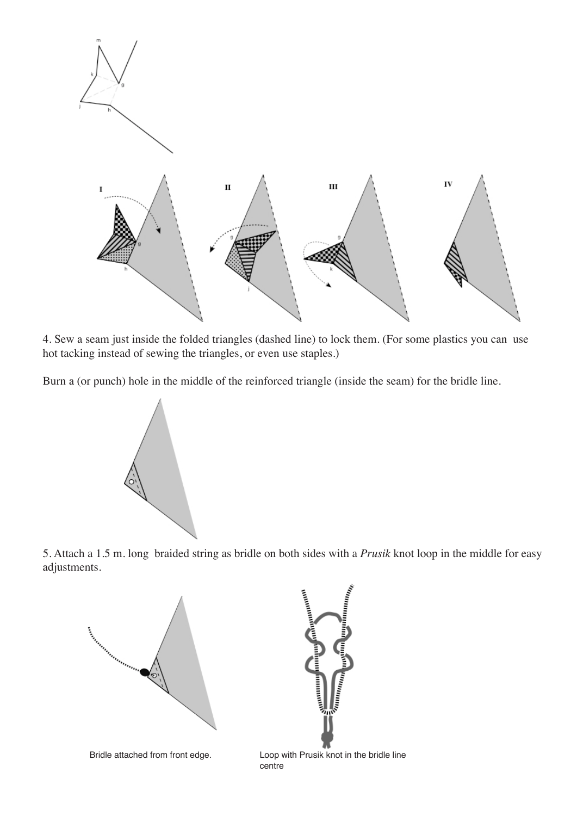

4. Sew a seam just inside the folded triangles (dashed line) to lock them. (For some plastics you can use hot tacking instead of sewing the triangles, or even use staples.)

Burn a (or punch) hole in the middle of the reinforced triangle (inside the seam) for the bridle line.



5. Attach a 1.5 m. long braided string as bridle on both sides with a *Prusik* knot loop in the middle for easy adjustments.



Bridle attached from front edge. Loop with Prusik knot in the bridle line centre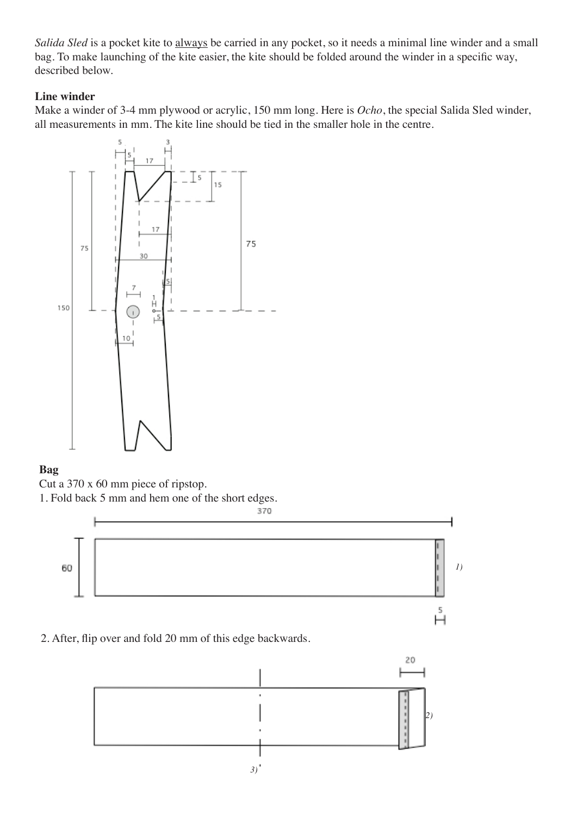*Salida Sled* is a pocket kite to always be carried in any pocket, so it needs a minimal line winder and a small bag. To make launching of the kite easier, the kite should be folded around the winder in a specific way, described below.

### **Line winder**

Make a winder of 3-4 mm plywood or acrylic, 150 mm long. Here is *Ocho*, the special Salida Sled winder, all measurements in mm. The kite line should be tied in the smaller hole in the centre.



### **Bag**

Cut a 370 x 60 mm piece of ripstop.

1. Fold back 5 mm and hem one of the short edges.



2. After, flip over and fold 20 mm of this edge backwards.

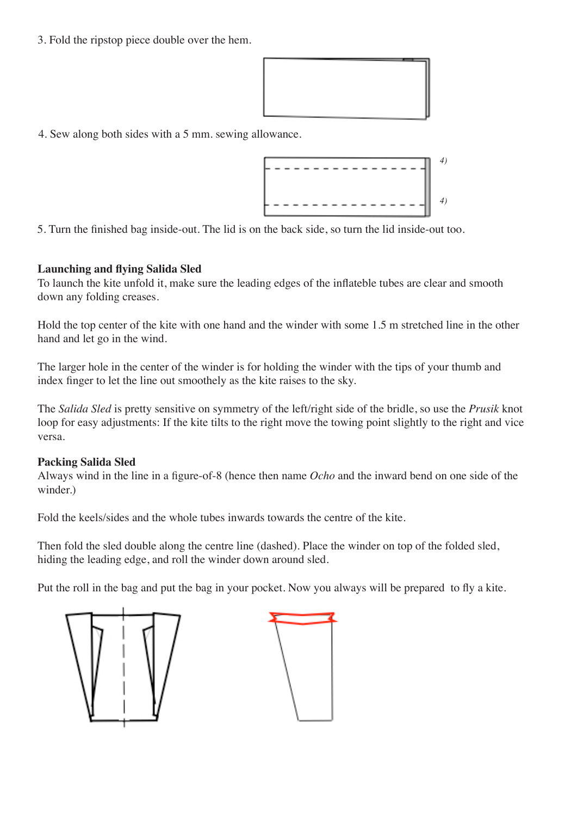3. Fold the ripstop piece double over the hem.



4. Sew along both sides with a 5 mm. sewing allowance.



5. Turn the finished bag inside-out. The lid is on the back side, so turn the lid inside-out too.

# **Launching and flying Salida Sled**

To launch the kite unfold it, make sure the leading edges of the inflateble tubes are clear and smooth down any folding creases.

Hold the top center of the kite with one hand and the winder with some 1.5 m stretched line in the other hand and let go in the wind.

The larger hole in the center of the winder is for holding the winder with the tips of your thumb and index finger to let the line out smoothely as the kite raises to the sky.

The *Salida Sled* is pretty sensitive on symmetry of the left/right side of the bridle, so use the *Prusik* knot loop for easy adjustments: If the kite tilts to the right move the towing point slightly to the right and vice versa.

# **Packing Salida Sled**

Always wind in the line in a figure-of-8 (hence then name *Ocho* and the inward bend on one side of the winder.)

Fold the keels/sides and the whole tubes inwards towards the centre of the kite.

Then fold the sled double along the centre line (dashed). Place the winder on top of the folded sled, hiding the leading edge, and roll the winder down around sled.

Put the roll in the bag and put the bag in your pocket. Now you always will be prepared to fly a kite.

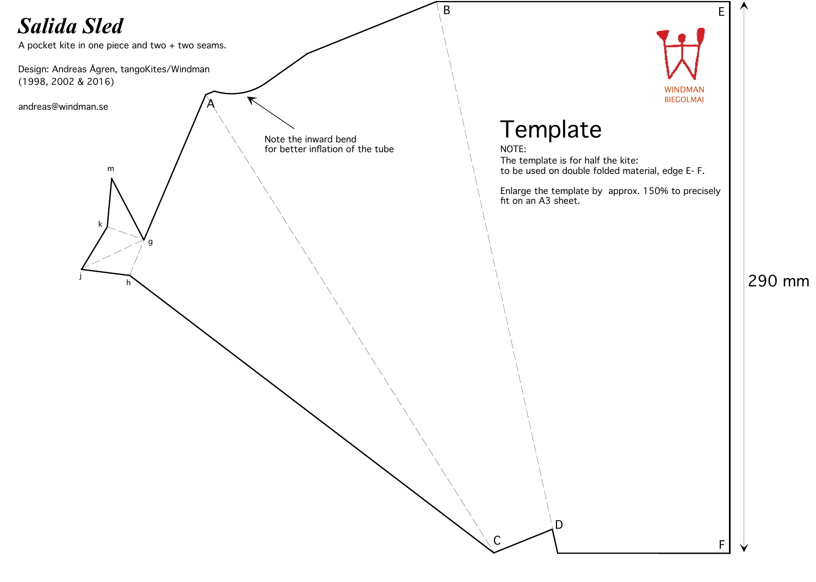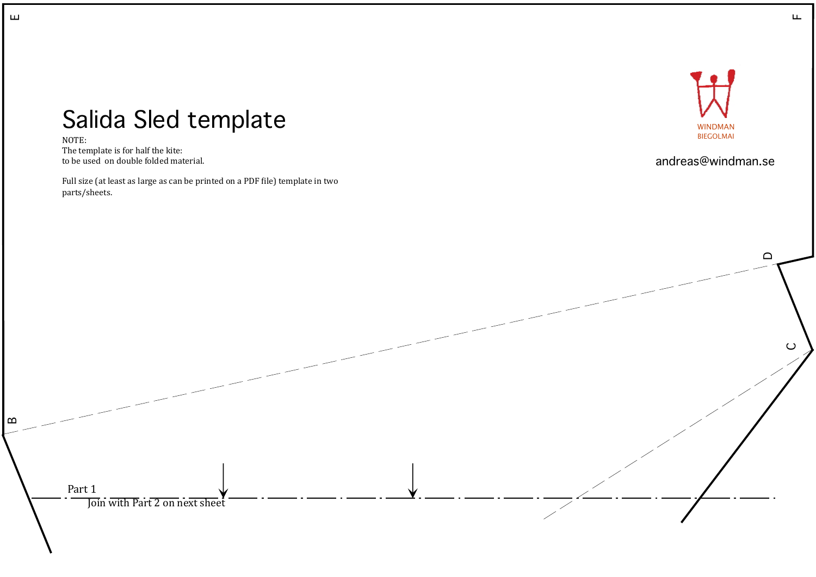

# Salida Sled template

NOTE: The template is for half the kite: to be used on double folded material.

Full size (at least as large as can be printed on a PDF file) template in two parts/sheets.